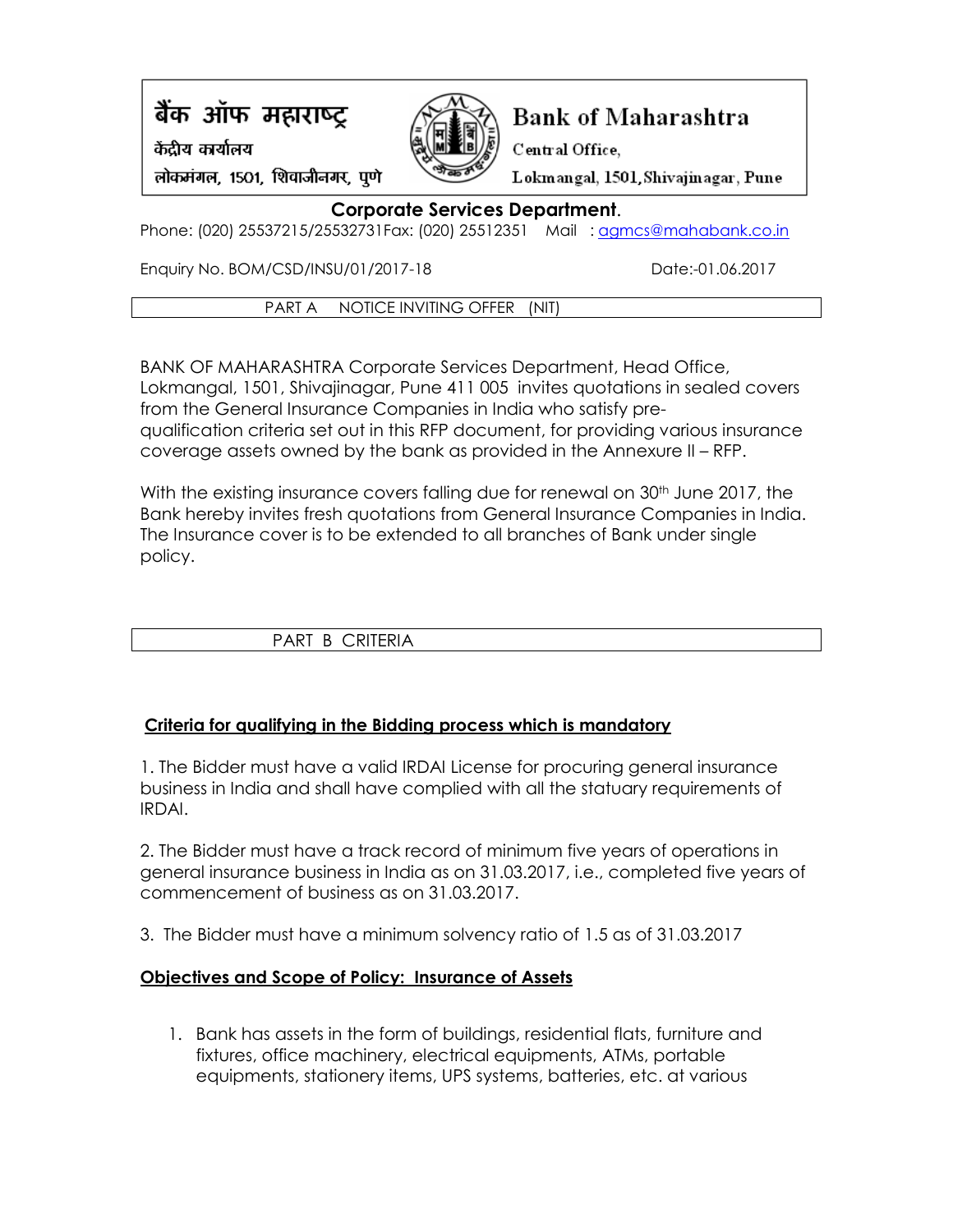# बैंक ऑफ महाराष्ट्र

केंद्रीय कार्यालय



# **Bank of Maharashtra**

Lokmangal, 1501, Shivajinagar, Pune

Central Office,

लोकमंगल, 1501, शिवाजीनगर, पुणे

# **Corporate Services Department**.

Phone: (020) 25537215/25532731Fax: (020) 25512351 Mail: [agmcs@mahabank.co.in](mailto:agmcs@mahabank.co.in)

Enquiry No. BOM/CSD/INSU/01/2017-18 Date:-01.06.2017

PART A NOTICE INVITING OFFER (NIT)

BANK OF MAHARASHTRA Corporate Services Department, Head Office, Lokmangal, 1501, Shivajinagar, Pune 411 005 invites quotations in sealed covers from the General Insurance Companies in India who satisfy prequalification criteria set out in this RFP document, for providing various insurance coverage assets owned by the bank as provided in the Annexure II – RFP.

With the existing insurance covers falling due for renewal on 30<sup>th</sup> June 2017, the Bank hereby invites fresh quotations from General Insurance Companies in India. The Insurance cover is to be extended to all branches of Bank under single policy.

# PART B CRITERIA

# **Criteria for qualifying in the Bidding process which is mandatory**

1. The Bidder must have a valid IRDAI License for procuring general insurance business in India and shall have complied with all the statuary requirements of IRDAI.

2. The Bidder must have a track record of minimum five years of operations in general insurance business in India as on 31.03.2017, i.e., completed five years of commencement of business as on 31.03.2017.

3. The Bidder must have a minimum solvency ratio of 1.5 as of 31.03.2017

# **Objectives and Scope of Policy: Insurance of Assets**

1. Bank has assets in the form of buildings, residential flats, furniture and fixtures, office machinery, electrical equipments, ATMs, portable equipments, stationery items, UPS systems, batteries, etc. at various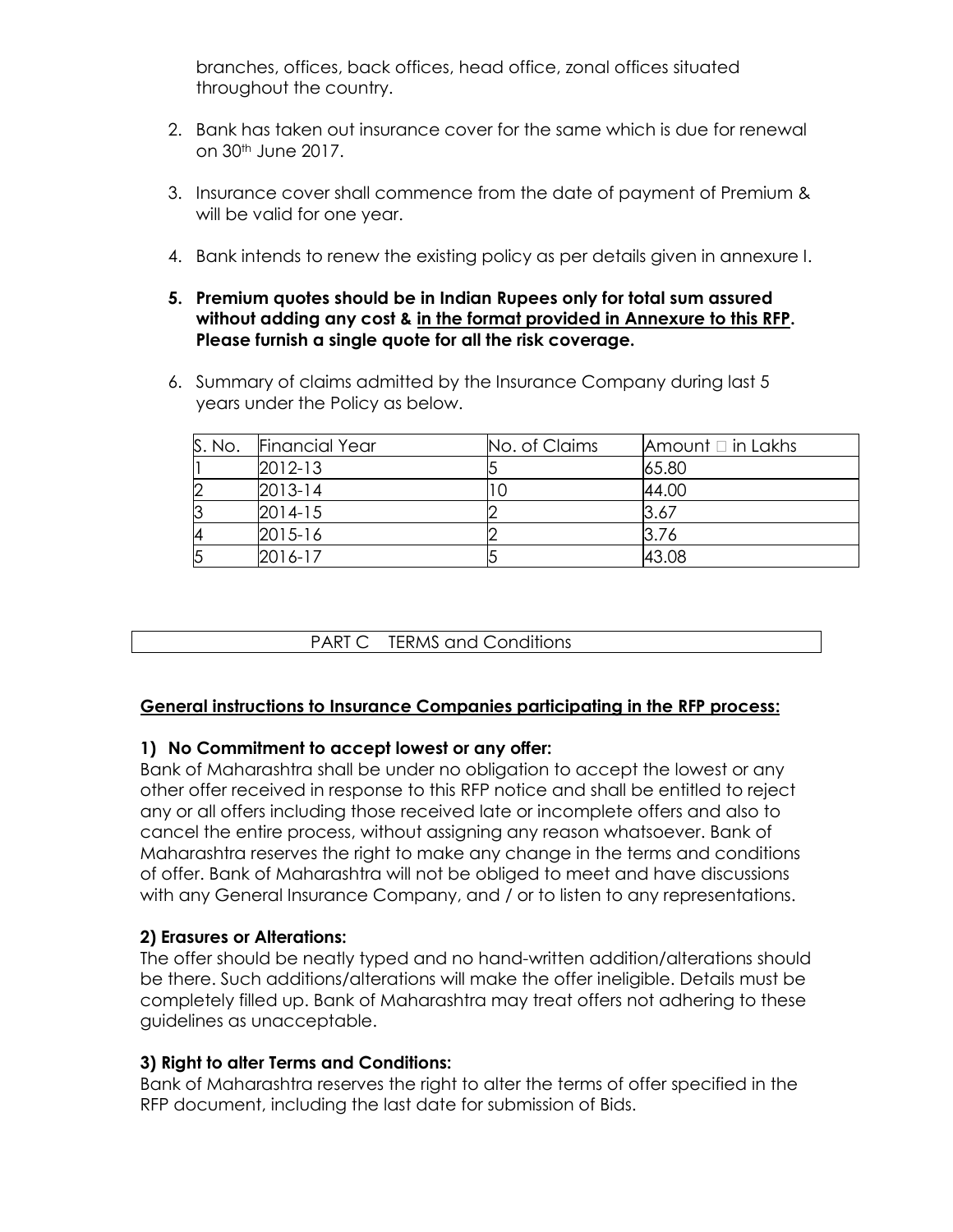branches, offices, back offices, head office, zonal offices situated throughout the country.

- 2. Bank has taken out insurance cover for the same which is due for renewal on 30th June 2017.
- 3. Insurance cover shall commence from the date of payment of Premium & will be valid for one year.
- 4. Bank intends to renew the existing policy as per details given in annexure I.
- **5. Premium quotes should be in Indian Rupees only for total sum assured without adding any cost & in the format provided in Annexure to this RFP. Please furnish a single quote for all the risk coverage.**
- 6. Summary of claims admitted by the Insurance Company during last 5 years under the Policy as below.

| S. No. | <b>Financial Year</b> | No. of Claims | Amount $\Box$ in Lakhs |
|--------|-----------------------|---------------|------------------------|
|        | $2012 - 13$           |               | 65.80                  |
|        | $2013 - 14$           |               | 44.00                  |
|        | 2014-15               |               | 3.67                   |
|        | 2015-16               |               | 3.76                   |
|        | 2016-17               |               | 43.08                  |

PART C TERMS and Conditions

## **General instructions to Insurance Companies participating in the RFP process:**

## **1) No Commitment to accept lowest or any offer:**

Bank of Maharashtra shall be under no obligation to accept the lowest or any other offer received in response to this RFP notice and shall be entitled to reject any or all offers including those received late or incomplete offers and also to cancel the entire process, without assigning any reason whatsoever. Bank of Maharashtra reserves the right to make any change in the terms and conditions of offer. Bank of Maharashtra will not be obliged to meet and have discussions with any General Insurance Company, and / or to listen to any representations.

## **2) Erasures or Alterations:**

The offer should be neatly typed and no hand-written addition/alterations should be there. Such additions/alterations will make the offer ineligible. Details must be completely filled up. Bank of Maharashtra may treat offers not adhering to these guidelines as unacceptable.

## **3) Right to alter Terms and Conditions:**

Bank of Maharashtra reserves the right to alter the terms of offer specified in the RFP document, including the last date for submission of Bids.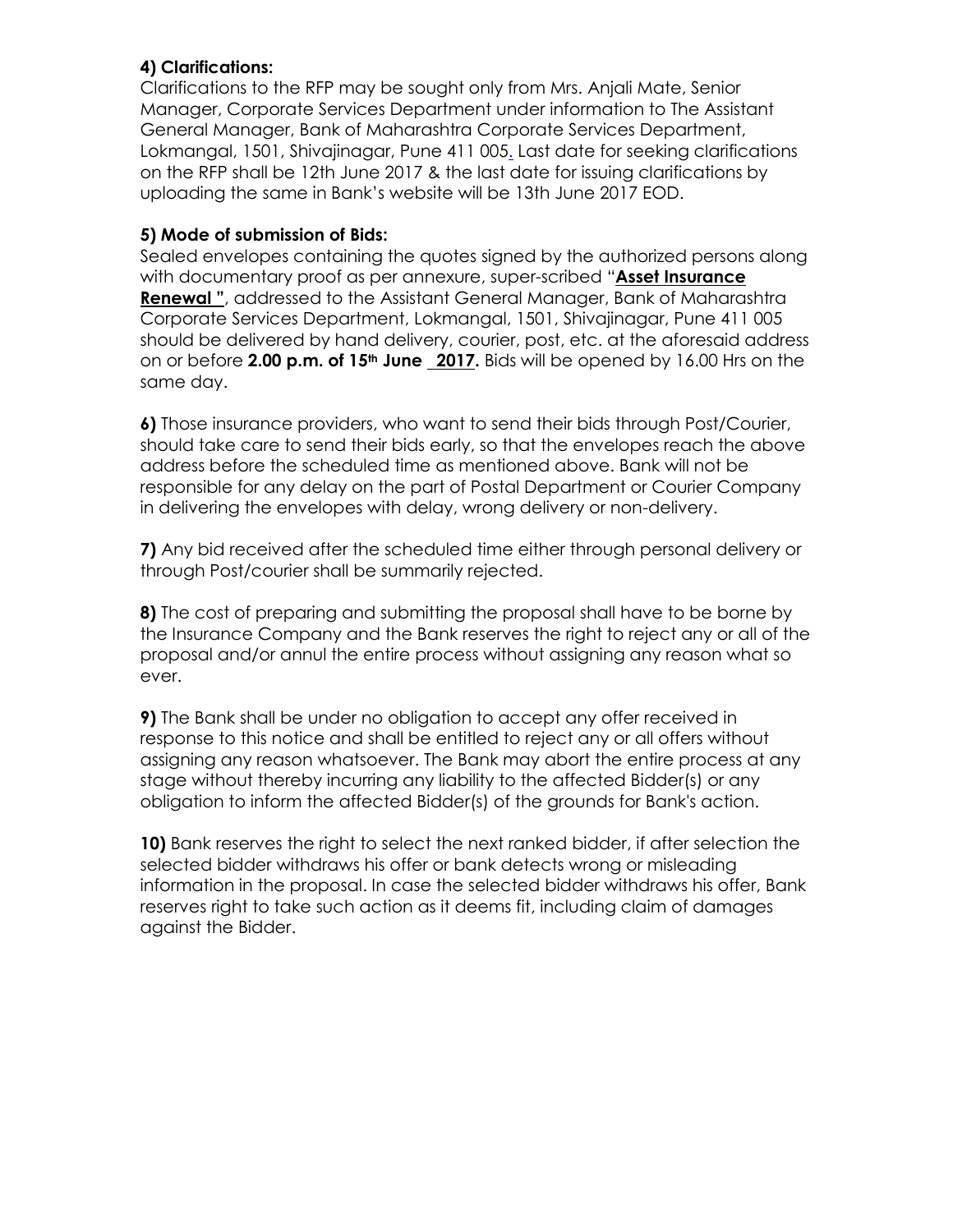## **4) Clarifications:**

Clarifications to the RFP may be sought only from Mrs. Anjali Mate, Senior Manager, Corporate Services Department under information to The Assistant General Manager, Bank of Maharashtra Corporate Services Department, Lokmangal, 1501, Shivajinagar, Pune 411 00[5.](mailto:insurancediv@syndicatebank.co.in) Last date for seeking clarifications on the RFP shall be 12th June 2017 & the last date for issuing clarifications by uploading the same in Bank's website will be 13th June 2017 EOD.

## **5) Mode of submission of Bids:**

Sealed envelopes containing the quotes signed by the authorized persons along with documentary proof as per annexure, super-scribed "**Asset Insurance Renewal "**, addressed to the Assistant General Manager, Bank of Maharashtra Corporate Services Department, Lokmangal, 1501, Shivajinagar, Pune 411 005 should be delivered by hand delivery, courier, post, etc. at the aforesaid address on or before **2.00 p.m. of 15th June 2017.** Bids will be opened by 16.00 Hrs on the same day.

**6)** Those insurance providers, who want to send their bids through Post/Courier, should take care to send their bids early, so that the envelopes reach the above address before the scheduled time as mentioned above. Bank will not be responsible for any delay on the part of Postal Department or Courier Company in delivering the envelopes with delay, wrong delivery or non-delivery.

**7)** Any bid received after the scheduled time either through personal delivery or through Post/courier shall be summarily rejected.

**8)** The cost of preparing and submitting the proposal shall have to be borne by the Insurance Company and the Bank reserves the right to reject any or all of the proposal and/or annul the entire process without assigning any reason what so ever.

**9)** The Bank shall be under no obligation to accept any offer received in response to this notice and shall be entitled to reject any or all offers without assigning any reason whatsoever. The Bank may abort the entire process at any stage without thereby incurring any liability to the affected Bidder(s) or any obligation to inform the affected Bidder(s) of the grounds for Bank's action.

**10)** Bank reserves the right to select the next ranked bidder, if after selection the selected bidder withdraws his offer or bank detects wrong or misleading information in the proposal. In case the selected bidder withdraws his offer, Bank reserves right to take such action as it deems fit, including claim of damages against the Bidder.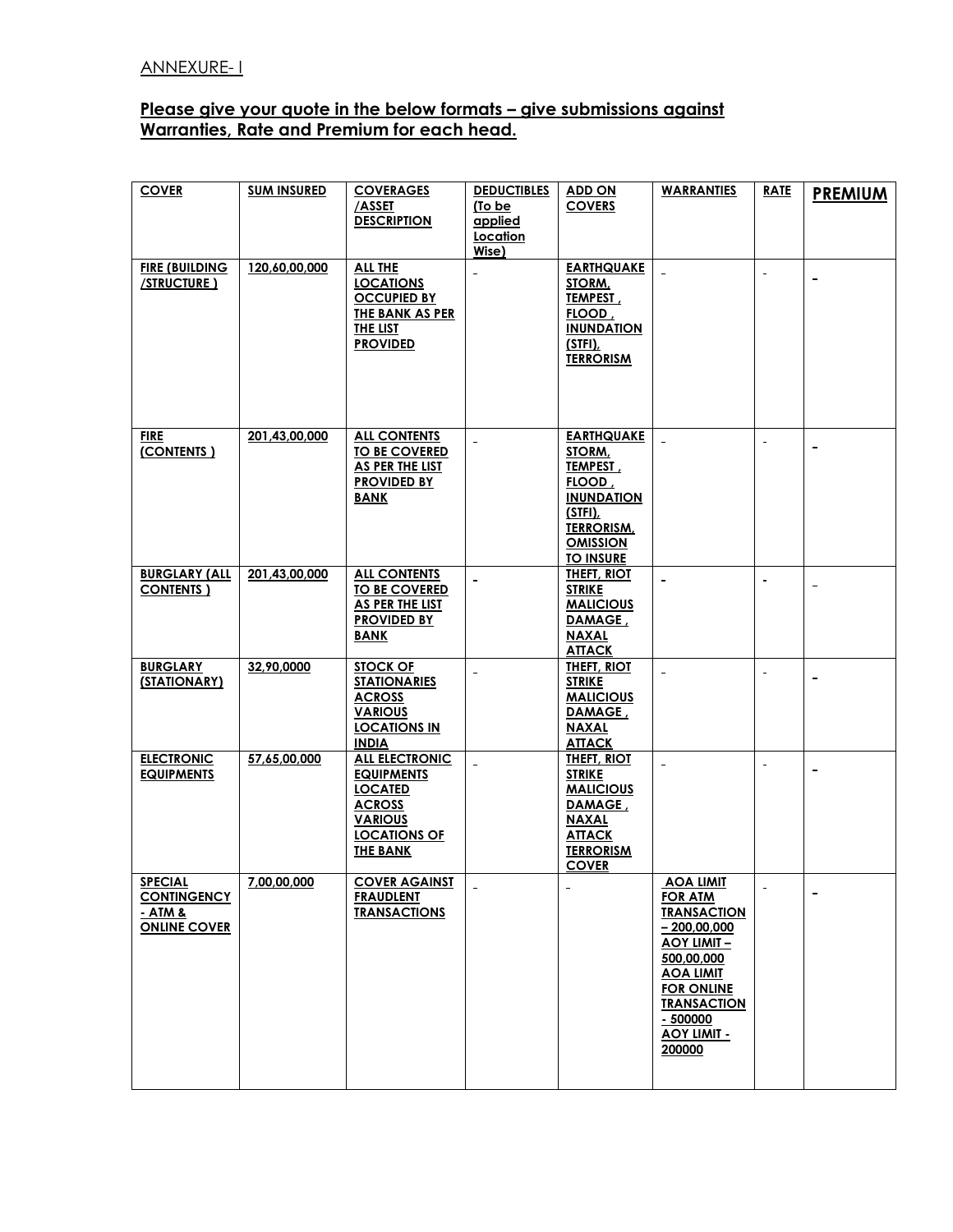#### **Please give your quote in the below formats – give submissions against Warranties, Rate and Premium for each head.**

| <b>COVER</b>                              | <b>SUM INSURED</b> | <b>COVERAGES</b>                             | <b>DEDUCTIBLES</b>  | <b>ADD ON</b>                       | <b>WARRANTIES</b>                   | <b>RATE</b>         | <b>PREMIUM</b>           |
|-------------------------------------------|--------------------|----------------------------------------------|---------------------|-------------------------------------|-------------------------------------|---------------------|--------------------------|
|                                           |                    | /ASSET                                       | (To be              | <b>COVERS</b>                       |                                     |                     |                          |
|                                           |                    | <b>DESCRIPTION</b>                           | applied<br>Location |                                     |                                     |                     |                          |
|                                           |                    |                                              | Wise)               |                                     |                                     |                     |                          |
| <b>FIRE (BUILDING</b>                     | 120,60,00,000      | <b>ALL THE</b>                               |                     | <b>EARTHQUAKE</b>                   |                                     |                     |                          |
| <b>/STRUCTURE )</b>                       |                    | <b>LOCATIONS</b>                             |                     | STORM,                              |                                     | $\blacksquare$      | $\blacksquare$           |
|                                           |                    | <b>OCCUPIED BY</b>                           |                     | TEMPEST,                            |                                     |                     |                          |
|                                           |                    | <b>THE BANK AS PER</b>                       |                     | FLOOD,                              |                                     |                     |                          |
|                                           |                    | THE LIST                                     |                     | <b>INUNDATION</b>                   |                                     |                     |                          |
|                                           |                    | <b>PROVIDED</b>                              |                     | (STFI)<br><b>TERRORISM</b>          |                                     |                     |                          |
|                                           |                    |                                              |                     |                                     |                                     |                     |                          |
|                                           |                    |                                              |                     |                                     |                                     |                     |                          |
|                                           |                    |                                              |                     |                                     |                                     |                     |                          |
|                                           |                    |                                              |                     |                                     |                                     |                     |                          |
| <b>FIRE</b>                               | 201,43,00,000      | <b>ALL CONTENTS</b>                          |                     | <b>EARTHQUAKE</b>                   |                                     | $\bar{\phantom{a}}$ |                          |
| (CONTENTS)                                |                    | <b>TO BE COVERED</b>                         |                     | STORM,                              |                                     |                     |                          |
|                                           |                    | <b>AS PER THE LIST</b><br><b>PROVIDED BY</b> |                     | <b>TEMPEST</b><br>FLOOD,            |                                     |                     |                          |
|                                           |                    | <b>BANK</b>                                  |                     | <b>INUNDATION</b>                   |                                     |                     |                          |
|                                           |                    |                                              |                     | (STFI),                             |                                     |                     |                          |
|                                           |                    |                                              |                     | <b>TERRORISM,</b>                   |                                     |                     |                          |
|                                           |                    |                                              |                     | <b>OMISSION</b>                     |                                     |                     |                          |
|                                           |                    |                                              |                     | <b>TO INSURE</b>                    |                                     |                     |                          |
| <b>BURGLARY (ALL</b><br><b>CONTENTS</b> ) | 201,43,00,000      | <b>ALL CONTENTS</b><br><b>TO BE COVERED</b>  | $\blacksquare$      | <b>THEFT, RIOT</b><br><b>STRIKE</b> | $\sim$                              | $\blacksquare$      | $\overline{\phantom{0}}$ |
|                                           |                    | AS PER THE LIST                              |                     | <b>MALICIOUS</b>                    |                                     |                     |                          |
|                                           |                    | <b>PROVIDED BY</b>                           |                     | DAMAGE,                             |                                     |                     |                          |
|                                           |                    | <b>BANK</b>                                  |                     | <b>NAXAL</b>                        |                                     |                     |                          |
|                                           |                    |                                              |                     | <b>ATTACK</b>                       |                                     |                     |                          |
| <b>BURGLARY</b>                           | 32,90,0000         | STOCK OF                                     | $\sim$              | <b>THEFT, RIOT</b>                  | $\sim$                              | $\sim$              |                          |
| (STATIONARY)                              |                    | <b>STATIONARIES</b>                          |                     | <b>STRIKE</b>                       |                                     |                     |                          |
|                                           |                    | <b>ACROSS</b><br><b>VARIOUS</b>              |                     | <b>MALICIOUS</b><br>DAMAGE,         |                                     |                     |                          |
|                                           |                    | <b>LOCATIONS IN</b>                          |                     | <b>NAXAL</b>                        |                                     |                     |                          |
|                                           |                    | <b>INDIA</b>                                 |                     | <b>ATTACK</b>                       |                                     |                     |                          |
| <b>ELECTRONIC</b>                         | 57,65,00,000       | <b>ALL ELECTRONIC</b>                        |                     | <b>THEFT, RIOT</b>                  |                                     | $\blacksquare$      |                          |
| <b>EQUIPMENTS</b>                         |                    | <b>EQUIPMENTS</b>                            |                     | <b>STRIKE</b>                       |                                     |                     |                          |
|                                           |                    | <b>LOCATED</b>                               |                     | <b>MALICIOUS</b>                    |                                     |                     |                          |
|                                           |                    | <b>ACROSS</b><br><b>VARIOUS</b>              |                     | DAMAGE,<br><b>NAXAL</b>             |                                     |                     |                          |
|                                           |                    | <b>LOCATIONS OF</b>                          |                     | <b>ATTACK</b>                       |                                     |                     |                          |
|                                           |                    | <b>THE BANK</b>                              |                     | <b>TERRORISM</b>                    |                                     |                     |                          |
|                                           |                    |                                              |                     | <b>COVER</b>                        |                                     |                     |                          |
| <b>SPECIAL</b>                            | 7,00,00,000        | <b>COVER AGAINST</b>                         | $\equiv$            | $\blacksquare$                      | <u>AOA LIMIT</u>                    | $\blacksquare$      |                          |
| <b>CONTINGENCY</b>                        |                    | <b>FRAUDLENT</b>                             |                     |                                     | <b>FOR ATM</b>                      |                     |                          |
| - ATM &<br><b>ONLINE COVER</b>            |                    | <b>TRANSACTIONS</b>                          |                     |                                     | <b>TRANSACTION</b><br>$-200,00,000$ |                     |                          |
|                                           |                    |                                              |                     |                                     | <b>AOY LIMIT -</b>                  |                     |                          |
|                                           |                    |                                              |                     |                                     | 500,00,000                          |                     |                          |
|                                           |                    |                                              |                     |                                     | <b>AOA LIMIT</b>                    |                     |                          |
|                                           |                    |                                              |                     |                                     | <b>FOR ONLINE</b>                   |                     |                          |
|                                           |                    |                                              |                     |                                     | <b>TRANSACTION</b>                  |                     |                          |
|                                           |                    |                                              |                     |                                     | $-500000$<br><b>AOY LIMIT -</b>     |                     |                          |
|                                           |                    |                                              |                     |                                     | 200000                              |                     |                          |
|                                           |                    |                                              |                     |                                     |                                     |                     |                          |
|                                           |                    |                                              |                     |                                     |                                     |                     |                          |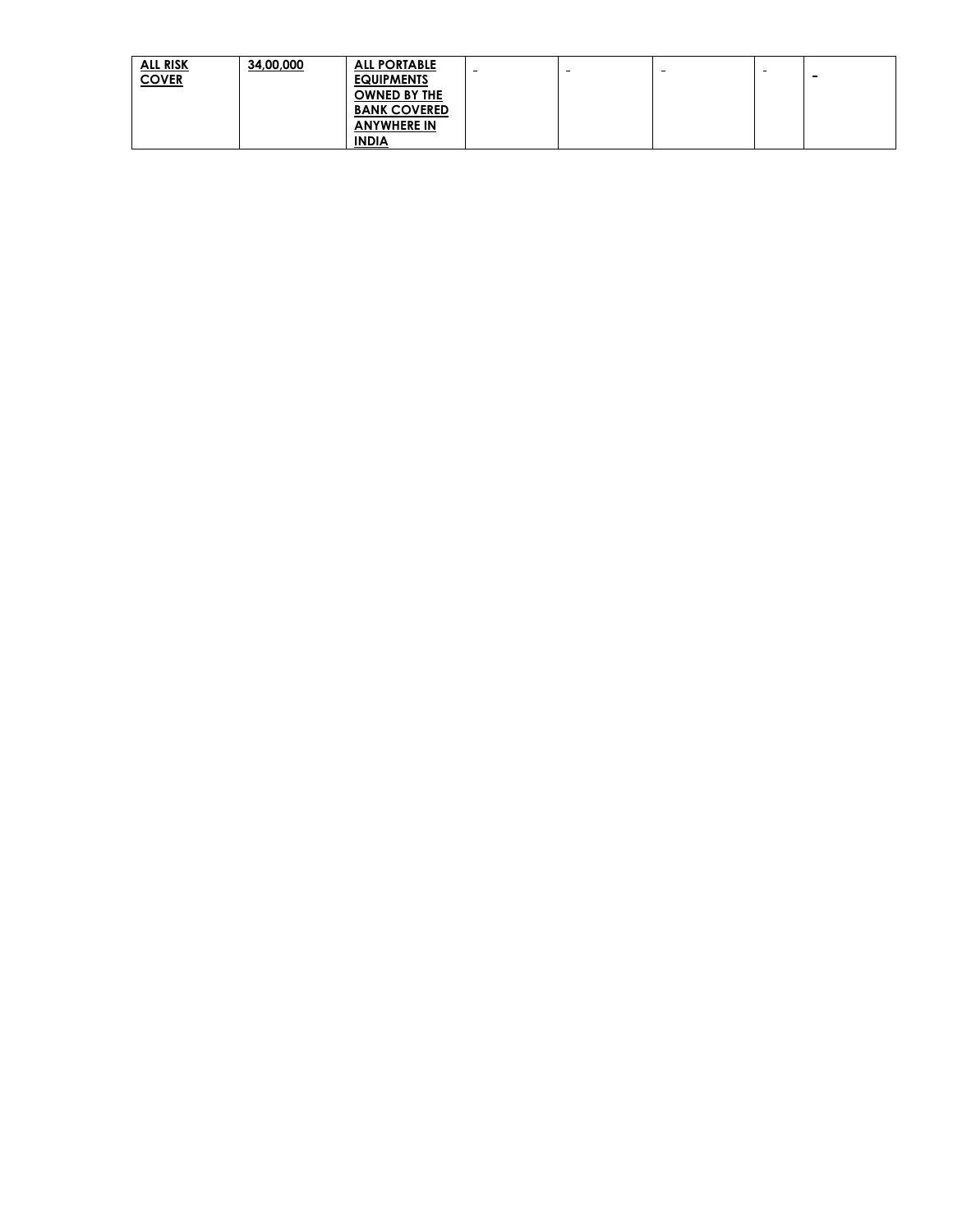| <b>ALL RISK</b> | 34,00,000 | <b>ALL PORTABLE</b> | $\sim$ | $\sim$ | -- |             |
|-----------------|-----------|---------------------|--------|--------|----|-------------|
| <b>COVER</b>    |           | <b>EQUIPMENTS</b>   |        |        |    | <b>1999</b> |
|                 |           | <b>OWNED BY THE</b> |        |        |    |             |
|                 |           | <b>BANK COVERED</b> |        |        |    |             |
|                 |           | <b>ANYWHERE IN</b>  |        |        |    |             |
|                 |           | <b>INDIA</b>        |        |        |    |             |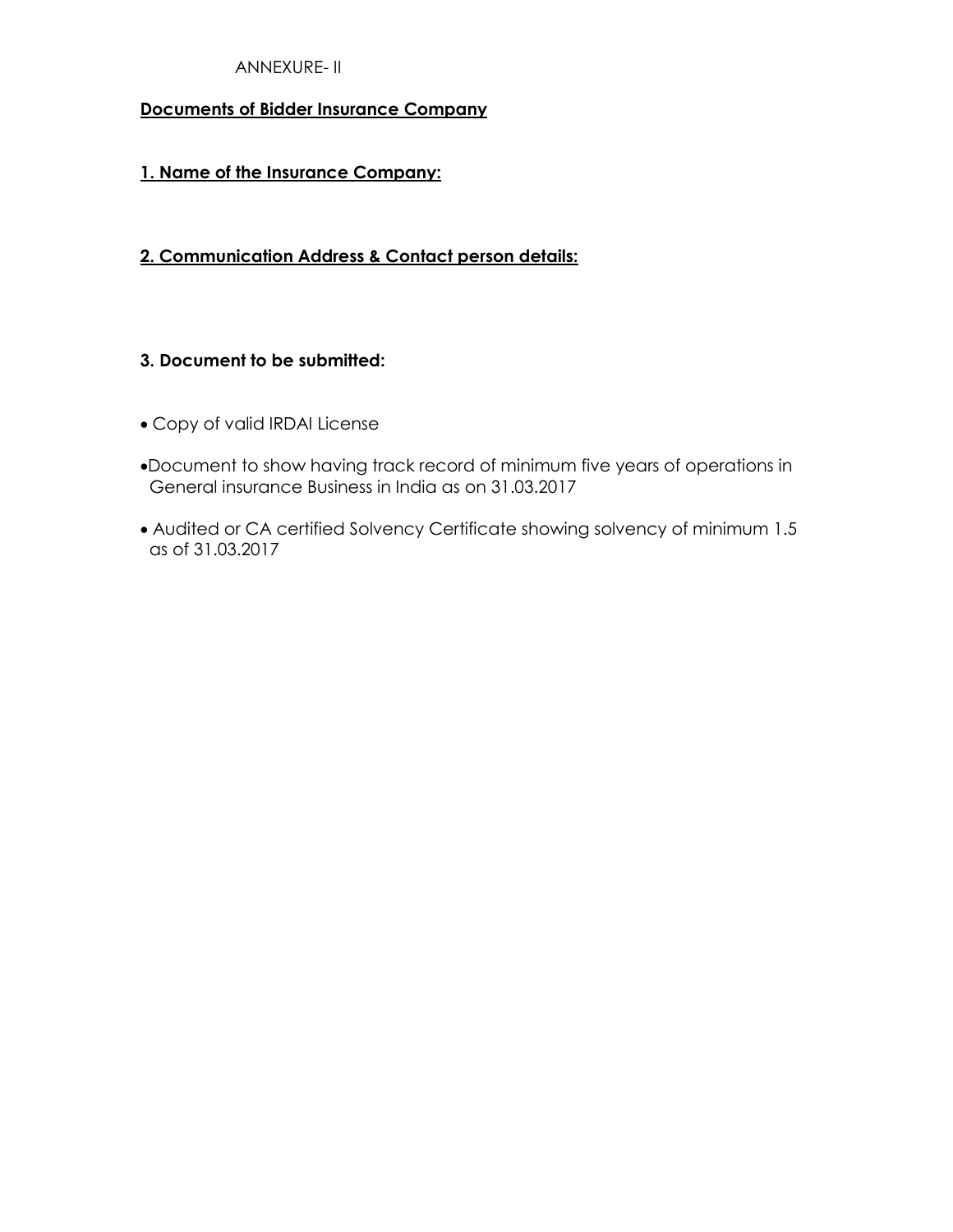### ANNEXURE- II

#### **Documents of Bidder Insurance Company**

#### **1. Name of the Insurance Company:**

#### **2. Communication Address & Contact person details:**

#### **3. Document to be submitted:**

- Copy of valid IRDAI License
- Document to show having track record of minimum five years of operations in General insurance Business in India as on 31.03.2017
- Audited or CA certified Solvency Certificate showing solvency of minimum 1.5 as of 31.03.2017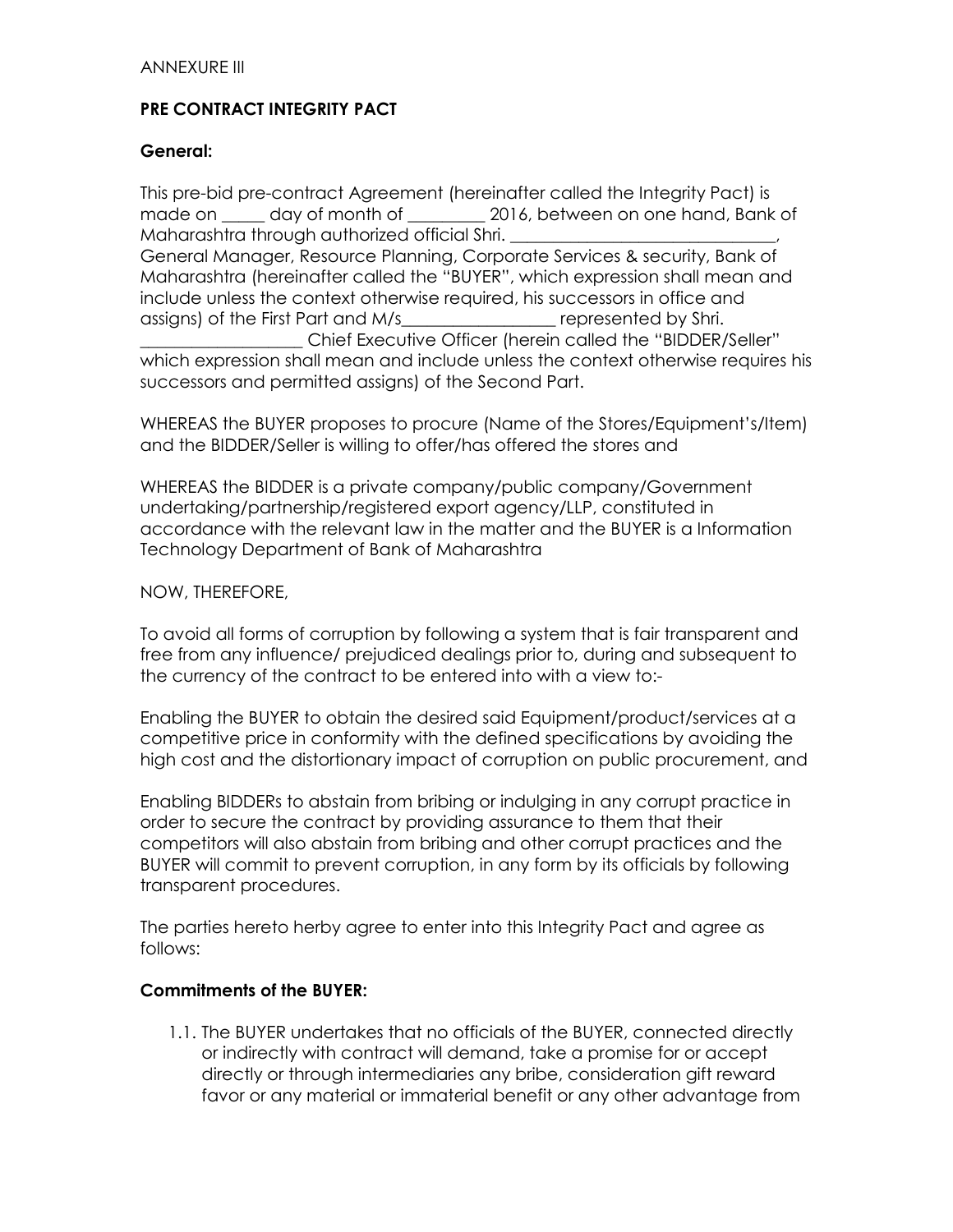## **PRE CONTRACT INTEGRITY PACT**

#### **General:**

This pre-bid pre-contract Agreement (hereinafter called the Integrity Pact) is made on day of month of 2016, between on one hand, Bank of Maharashtra through authorized official Shri. General Manager, Resource Planning, Corporate Services & security, Bank of Maharashtra (hereinafter called the "BUYER", which expression shall mean and include unless the context otherwise required, his successors in office and assigns) of the First Part and M/s\_\_\_\_\_\_\_\_\_\_\_\_\_\_\_\_\_\_ represented by Shri. \_\_\_\_\_\_\_\_\_\_\_\_\_\_\_\_\_\_\_ Chief Executive Officer (herein called the "BIDDER/Seller" which expression shall mean and include unless the context otherwise requires his successors and permitted assigns) of the Second Part.

WHEREAS the BUYER proposes to procure (Name of the Stores/Equipment's/Item) and the BIDDER/Seller is willing to offer/has offered the stores and

WHEREAS the BIDDER is a private company/public company/Government undertaking/partnership/registered export agency/LLP, constituted in accordance with the relevant law in the matter and the BUYER is a Information Technology Department of Bank of Maharashtra

#### NOW, THEREFORE,

To avoid all forms of corruption by following a system that is fair transparent and free from any influence/ prejudiced dealings prior to, during and subsequent to the currency of the contract to be entered into with a view to:-

Enabling the BUYER to obtain the desired said Equipment/product/services at a competitive price in conformity with the defined specifications by avoiding the high cost and the distortionary impact of corruption on public procurement, and

Enabling BIDDERs to abstain from bribing or indulging in any corrupt practice in order to secure the contract by providing assurance to them that their competitors will also abstain from bribing and other corrupt practices and the BUYER will commit to prevent corruption, in any form by its officials by following transparent procedures.

The parties hereto herby agree to enter into this Integrity Pact and agree as follows:

#### **Commitments of the BUYER:**

1.1. The BUYER undertakes that no officials of the BUYER, connected directly or indirectly with contract will demand, take a promise for or accept directly or through intermediaries any bribe, consideration gift reward favor or any material or immaterial benefit or any other advantage from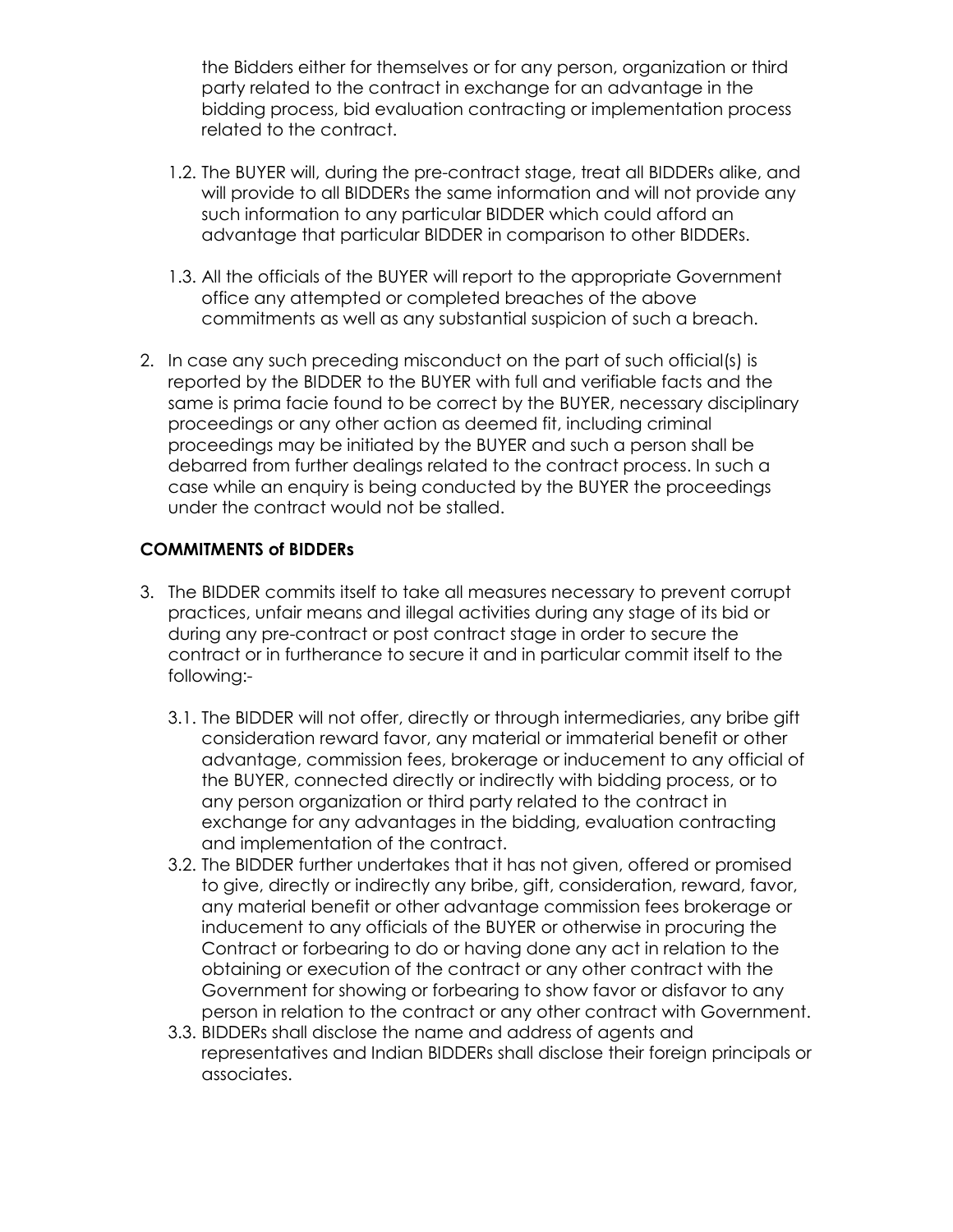the Bidders either for themselves or for any person, organization or third party related to the contract in exchange for an advantage in the bidding process, bid evaluation contracting or implementation process related to the contract.

- 1.2. The BUYER will, during the pre-contract stage, treat all BIDDERs alike, and will provide to all BIDDERs the same information and will not provide any such information to any particular BIDDER which could afford an advantage that particular BIDDER in comparison to other BIDDERs.
- 1.3. All the officials of the BUYER will report to the appropriate Government office any attempted or completed breaches of the above commitments as well as any substantial suspicion of such a breach.
- 2. In case any such preceding misconduct on the part of such official(s) is reported by the BIDDER to the BUYER with full and verifiable facts and the same is prima facie found to be correct by the BUYER, necessary disciplinary proceedings or any other action as deemed fit, including criminal proceedings may be initiated by the BUYER and such a person shall be debarred from further dealings related to the contract process. In such a case while an enquiry is being conducted by the BUYER the proceedings under the contract would not be stalled.

## **COMMITMENTS of BIDDERs**

- 3. The BIDDER commits itself to take all measures necessary to prevent corrupt practices, unfair means and illegal activities during any stage of its bid or during any pre-contract or post contract stage in order to secure the contract or in furtherance to secure it and in particular commit itself to the following:-
	- 3.1. The BIDDER will not offer, directly or through intermediaries, any bribe gift consideration reward favor, any material or immaterial benefit or other advantage, commission fees, brokerage or inducement to any official of the BUYER, connected directly or indirectly with bidding process, or to any person organization or third party related to the contract in exchange for any advantages in the bidding, evaluation contracting and implementation of the contract.
	- 3.2. The BIDDER further undertakes that it has not given, offered or promised to give, directly or indirectly any bribe, gift, consideration, reward, favor, any material benefit or other advantage commission fees brokerage or inducement to any officials of the BUYER or otherwise in procuring the Contract or forbearing to do or having done any act in relation to the obtaining or execution of the contract or any other contract with the Government for showing or forbearing to show favor or disfavor to any person in relation to the contract or any other contract with Government.
	- 3.3. BIDDERs shall disclose the name and address of agents and representatives and Indian BIDDERs shall disclose their foreign principals or associates.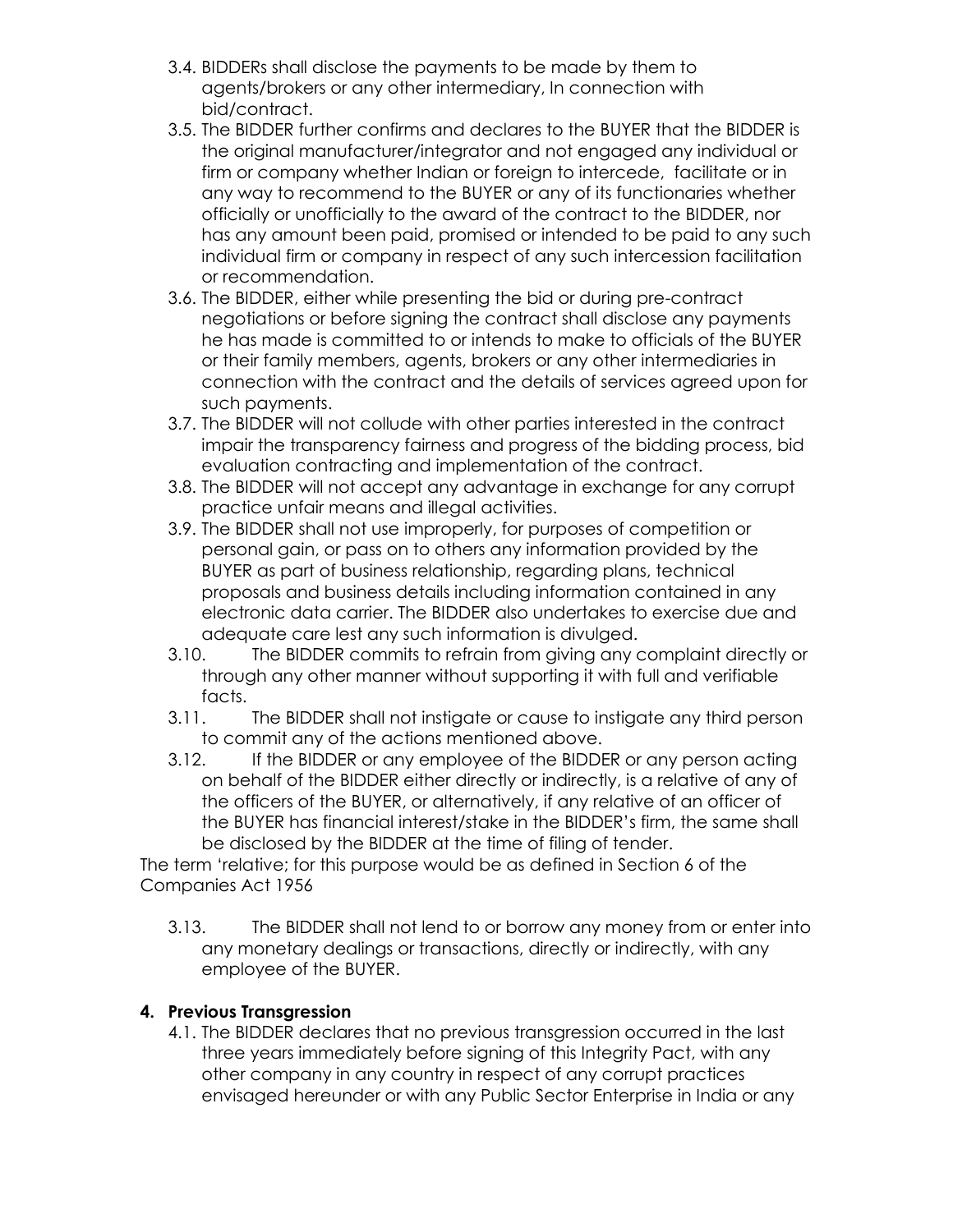- 3.4. BIDDERs shall disclose the payments to be made by them to agents/brokers or any other intermediary, In connection with bid/contract.
- 3.5. The BIDDER further confirms and declares to the BUYER that the BIDDER is the original manufacturer/integrator and not engaged any individual or firm or company whether Indian or foreign to intercede, facilitate or in any way to recommend to the BUYER or any of its functionaries whether officially or unofficially to the award of the contract to the BIDDER, nor has any amount been paid, promised or intended to be paid to any such individual firm or company in respect of any such intercession facilitation or recommendation.
- 3.6. The BIDDER, either while presenting the bid or during pre-contract negotiations or before signing the contract shall disclose any payments he has made is committed to or intends to make to officials of the BUYER or their family members, agents, brokers or any other intermediaries in connection with the contract and the details of services agreed upon for such payments.
- 3.7. The BIDDER will not collude with other parties interested in the contract impair the transparency fairness and progress of the bidding process, bid evaluation contracting and implementation of the contract.
- 3.8. The BIDDER will not accept any advantage in exchange for any corrupt practice unfair means and illegal activities.
- 3.9. The BIDDER shall not use improperly, for purposes of competition or personal gain, or pass on to others any information provided by the BUYER as part of business relationship, regarding plans, technical proposals and business details including information contained in any electronic data carrier. The BIDDER also undertakes to exercise due and adequate care lest any such information is divulged.
- 3.10. The BIDDER commits to refrain from giving any complaint directly or through any other manner without supporting it with full and verifiable facts.
- 3.11. The BIDDER shall not instigate or cause to instigate any third person to commit any of the actions mentioned above.
- 3.12. If the BIDDER or any employee of the BIDDER or any person acting on behalf of the BIDDER either directly or indirectly, is a relative of any of the officers of the BUYER, or alternatively, if any relative of an officer of the BUYER has financial interest/stake in the BIDDER's firm, the same shall be disclosed by the BIDDER at the time of filing of tender.

The term 'relative; for this purpose would be as defined in Section 6 of the Companies Act 1956

3.13. The BIDDER shall not lend to or borrow any money from or enter into any monetary dealings or transactions, directly or indirectly, with any employee of the BUYER.

# **4. Previous Transgression**

4.1. The BIDDER declares that no previous transgression occurred in the last three years immediately before signing of this Integrity Pact, with any other company in any country in respect of any corrupt practices envisaged hereunder or with any Public Sector Enterprise in India or any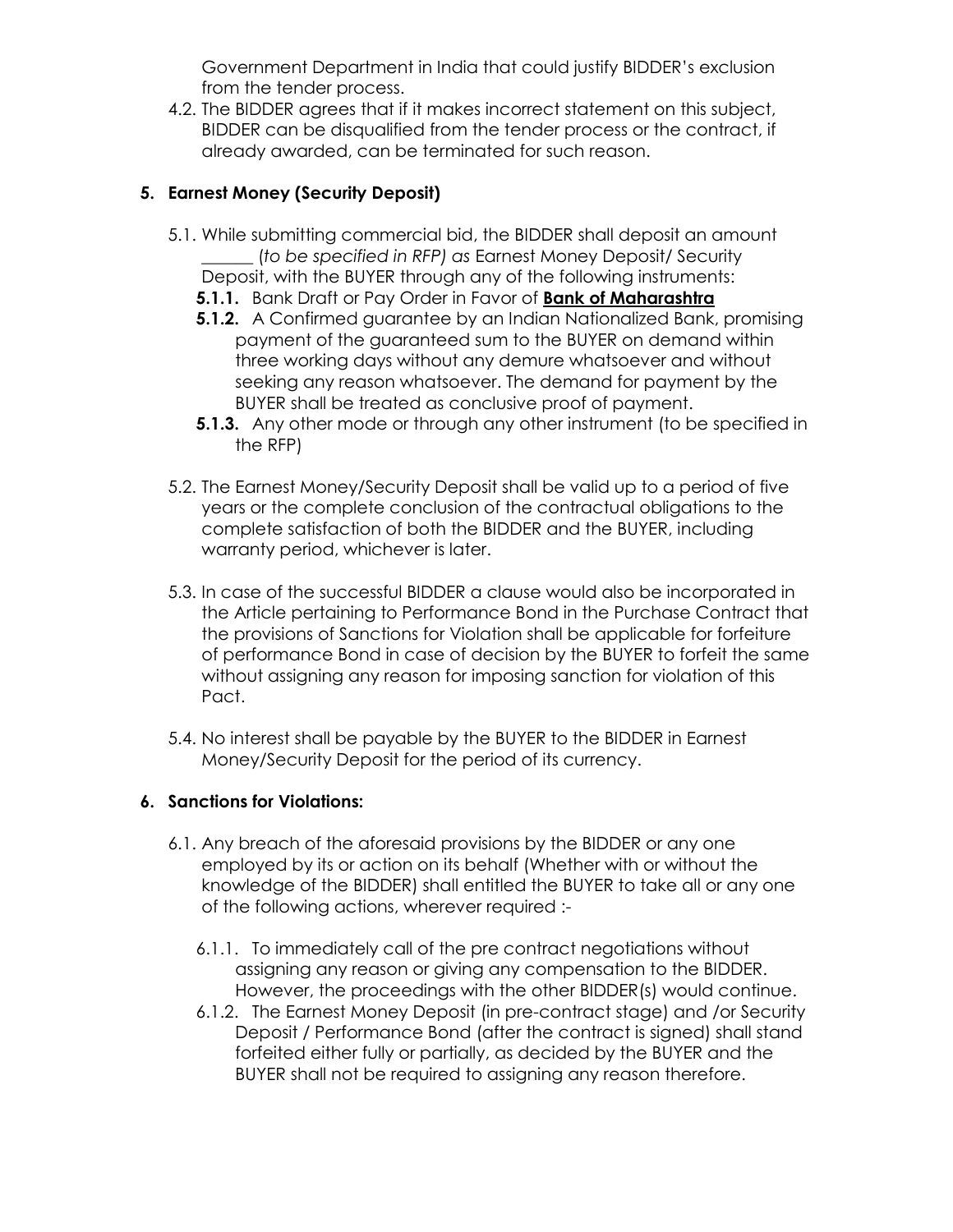Government Department in India that could justify BIDDER's exclusion from the tender process.

4.2. The BIDDER agrees that if it makes incorrect statement on this subject, BIDDER can be disqualified from the tender process or the contract, if already awarded, can be terminated for such reason.

# **5. Earnest Money (Security Deposit)**

- 5.1. While submitting commercial bid, the BIDDER shall deposit an amount \_\_\_\_\_\_ (*to be specified in RFP) as* Earnest Money Deposit/ Security Deposit, with the BUYER through any of the following instruments:
	- **5.1.1.** Bank Draft or Pay Order in Favor of **Bank of Maharashtra**
	- **5.1.2.** A Confirmed guarantee by an Indian Nationalized Bank, promising payment of the guaranteed sum to the BUYER on demand within three working days without any demure whatsoever and without seeking any reason whatsoever. The demand for payment by the BUYER shall be treated as conclusive proof of payment.
	- **5.1.3.** Any other mode or through any other instrument (to be specified in the RFP)
- 5.2. The Earnest Money/Security Deposit shall be valid up to a period of five years or the complete conclusion of the contractual obligations to the complete satisfaction of both the BIDDER and the BUYER, including warranty period, whichever is later.
- 5.3. In case of the successful BIDDER a clause would also be incorporated in the Article pertaining to Performance Bond in the Purchase Contract that the provisions of Sanctions for Violation shall be applicable for forfeiture of performance Bond in case of decision by the BUYER to forfeit the same without assigning any reason for imposing sanction for violation of this Pact.
- 5.4. No interest shall be payable by the BUYER to the BIDDER in Earnest Money/Security Deposit for the period of its currency.

# **6. Sanctions for Violations:**

- 6.1. Any breach of the aforesaid provisions by the BIDDER or any one employed by its or action on its behalf (Whether with or without the knowledge of the BIDDER) shall entitled the BUYER to take all or any one of the following actions, wherever required :-
	- 6.1.1. To immediately call of the pre contract negotiations without assigning any reason or giving any compensation to the BIDDER. However, the proceedings with the other BIDDER(s) would continue.
	- 6.1.2. The Earnest Money Deposit (in pre-contract stage) and /or Security Deposit / Performance Bond (after the contract is signed) shall stand forfeited either fully or partially, as decided by the BUYER and the BUYER shall not be required to assigning any reason therefore.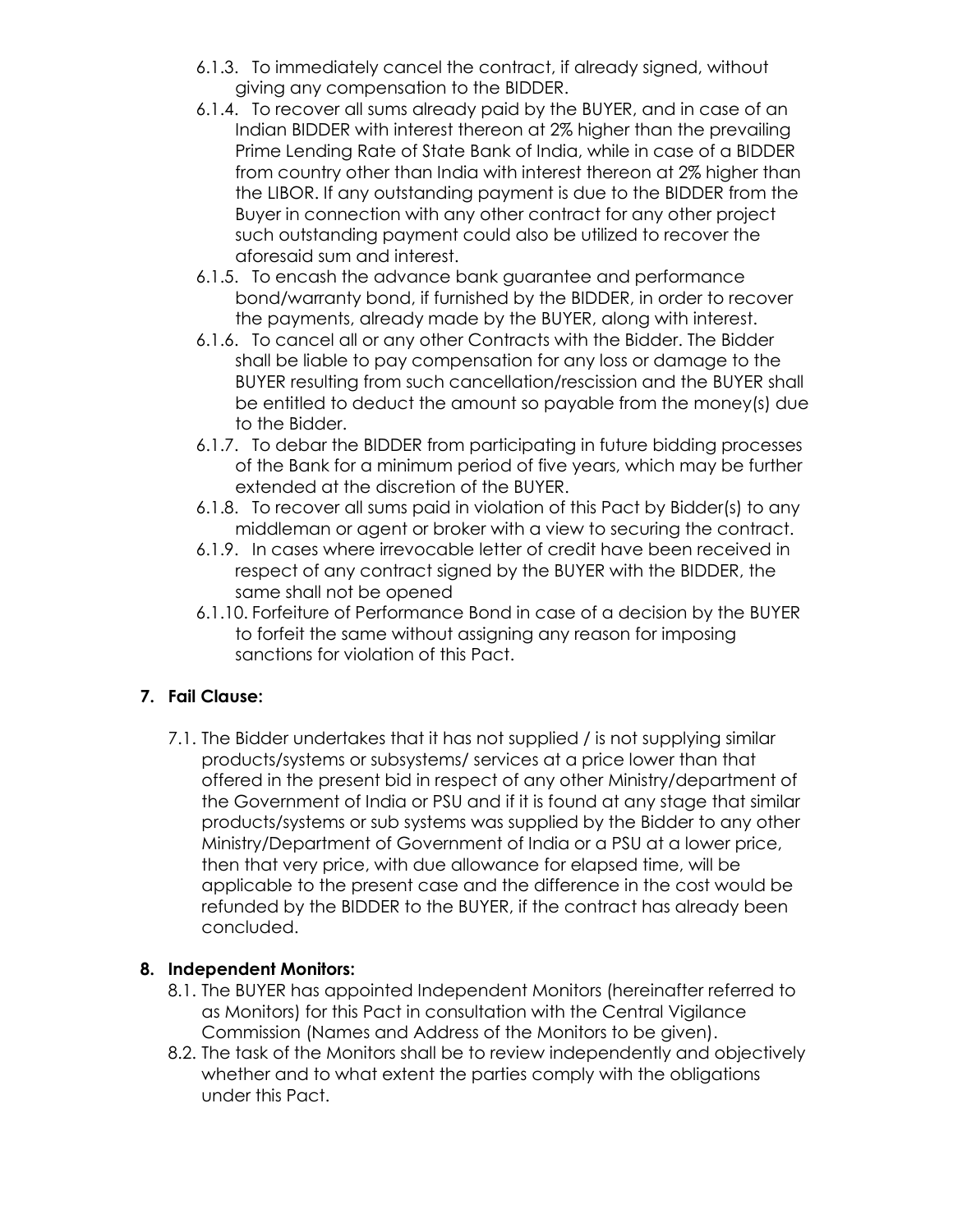- 6.1.3. To immediately cancel the contract, if already signed, without giving any compensation to the BIDDER.
- 6.1.4. To recover all sums already paid by the BUYER, and in case of an Indian BIDDER with interest thereon at 2% higher than the prevailing Prime Lending Rate of State Bank of India, while in case of a BIDDER from country other than India with interest thereon at 2% higher than the LIBOR. If any outstanding payment is due to the BIDDER from the Buyer in connection with any other contract for any other project such outstanding payment could also be utilized to recover the aforesaid sum and interest.
- 6.1.5. To encash the advance bank guarantee and performance bond/warranty bond, if furnished by the BIDDER, in order to recover the payments, already made by the BUYER, along with interest.
- 6.1.6. To cancel all or any other Contracts with the Bidder. The Bidder shall be liable to pay compensation for any loss or damage to the BUYER resulting from such cancellation/rescission and the BUYER shall be entitled to deduct the amount so payable from the money(s) due to the Bidder.
- 6.1.7. To debar the BIDDER from participating in future bidding processes of the Bank for a minimum period of five years, which may be further extended at the discretion of the BUYER.
- 6.1.8. To recover all sums paid in violation of this Pact by Bidder(s) to any middleman or agent or broker with a view to securing the contract.
- 6.1.9. In cases where irrevocable letter of credit have been received in respect of any contract signed by the BUYER with the BIDDER, the same shall not be opened
- 6.1.10. Forfeiture of Performance Bond in case of a decision by the BUYER to forfeit the same without assigning any reason for imposing sanctions for violation of this Pact.

# **7. Fail Clause:**

7.1. The Bidder undertakes that it has not supplied / is not supplying similar products/systems or subsystems/ services at a price lower than that offered in the present bid in respect of any other Ministry/department of the Government of India or PSU and if it is found at any stage that similar products/systems or sub systems was supplied by the Bidder to any other Ministry/Department of Government of India or a PSU at a lower price, then that very price, with due allowance for elapsed time, will be applicable to the present case and the difference in the cost would be refunded by the BIDDER to the BUYER, if the contract has already been concluded.

# **8. Independent Monitors:**

- 8.1. The BUYER has appointed Independent Monitors (hereinafter referred to as Monitors) for this Pact in consultation with the Central Vigilance Commission (Names and Address of the Monitors to be given).
- 8.2. The task of the Monitors shall be to review independently and objectively whether and to what extent the parties comply with the obligations under this Pact.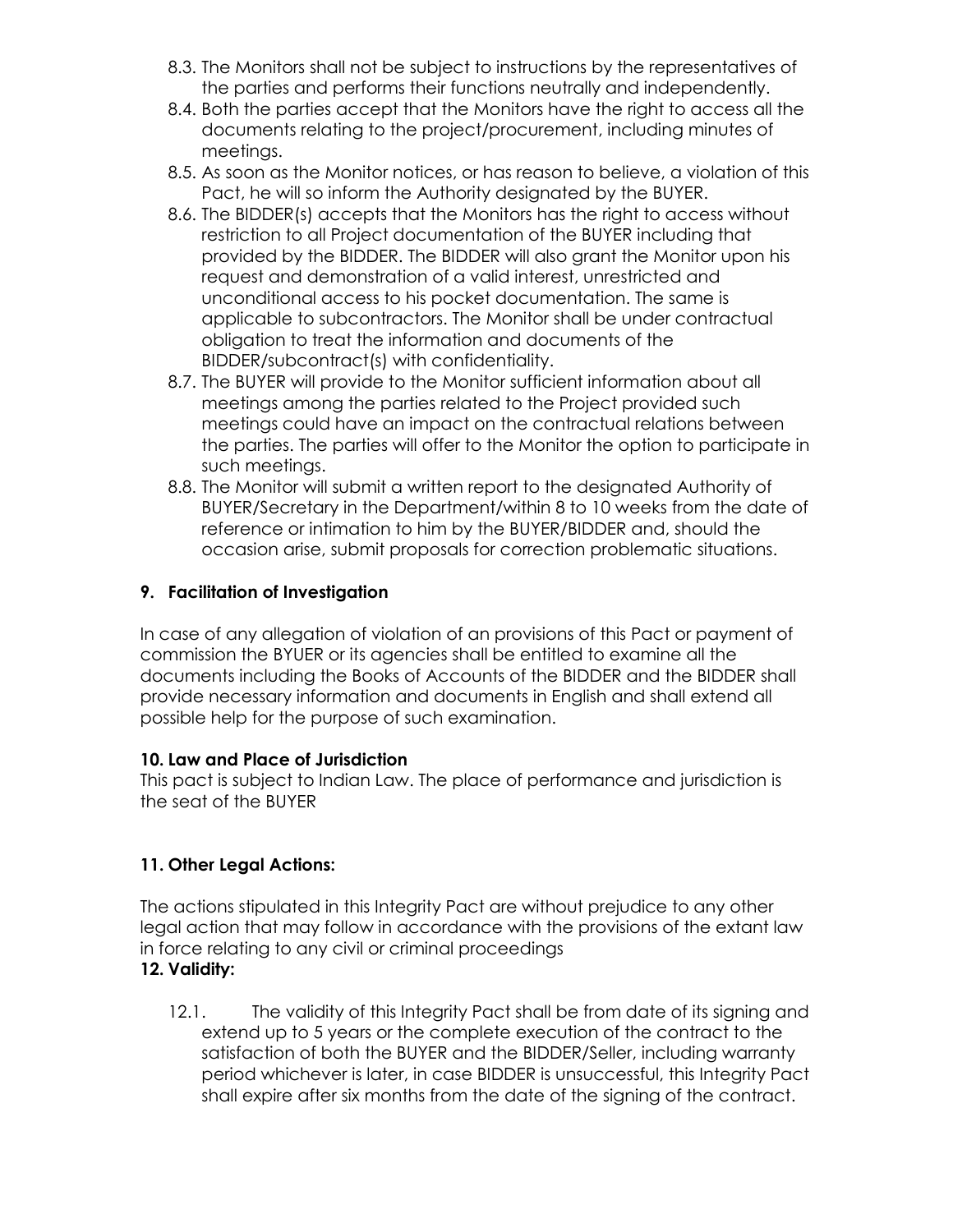- 8.3. The Monitors shall not be subject to instructions by the representatives of the parties and performs their functions neutrally and independently.
- 8.4. Both the parties accept that the Monitors have the right to access all the documents relating to the project/procurement, including minutes of meetings.
- 8.5. As soon as the Monitor notices, or has reason to believe, a violation of this Pact, he will so inform the Authority designated by the BUYER.
- 8.6. The BIDDER(s) accepts that the Monitors has the right to access without restriction to all Project documentation of the BUYER including that provided by the BIDDER. The BIDDER will also grant the Monitor upon his request and demonstration of a valid interest, unrestricted and unconditional access to his pocket documentation. The same is applicable to subcontractors. The Monitor shall be under contractual obligation to treat the information and documents of the BIDDER/subcontract(s) with confidentiality.
- 8.7. The BUYER will provide to the Monitor sufficient information about all meetings among the parties related to the Project provided such meetings could have an impact on the contractual relations between the parties. The parties will offer to the Monitor the option to participate in such meetings.
- 8.8. The Monitor will submit a written report to the designated Authority of BUYER/Secretary in the Department/within 8 to 10 weeks from the date of reference or intimation to him by the BUYER/BIDDER and, should the occasion arise, submit proposals for correction problematic situations.

## **9. Facilitation of Investigation**

In case of any allegation of violation of an provisions of this Pact or payment of commission the BYUER or its agencies shall be entitled to examine all the documents including the Books of Accounts of the BIDDER and the BIDDER shall provide necessary information and documents in English and shall extend all possible help for the purpose of such examination.

## **10. Law and Place of Jurisdiction**

This pact is subject to Indian Law. The place of performance and jurisdiction is the seat of the BUYER

# **11. Other Legal Actions:**

The actions stipulated in this Integrity Pact are without prejudice to any other legal action that may follow in accordance with the provisions of the extant law in force relating to any civil or criminal proceedings **12. Validity:**

12.1. The validity of this Integrity Pact shall be from date of its signing and extend up to 5 years or the complete execution of the contract to the satisfaction of both the BUYER and the BIDDER/Seller, including warranty period whichever is later, in case BIDDER is unsuccessful, this Integrity Pact shall expire after six months from the date of the signing of the contract.